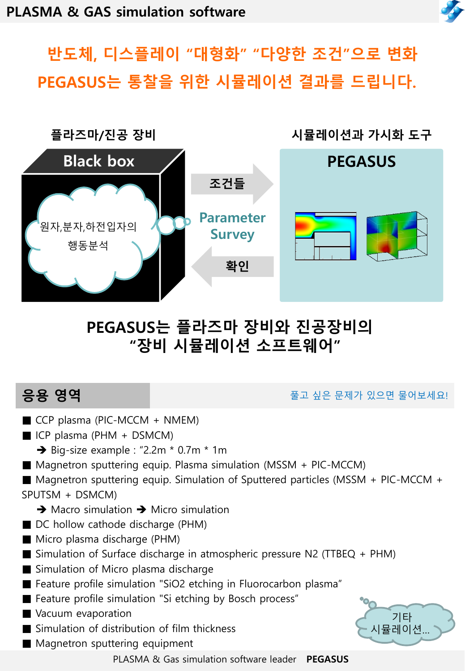

# 반도체, 디스플레이 "대형화" "다양한 조건"으로 변화 PEGASUS는 통찰을 위한 시뮬레이션 결과를 드립니다.



## PEGASUS는 플라즈마 장비와 진공장비의 "장비 시뮬레이션 소프트웨어"

응용 영역 접근 물고 있는 물고 싶은 문제가 있으면 물어보세요!

- $\blacksquare$  CCP plasma (PIC-MCCM + NMEM)
- $\blacksquare$  ICP plasma (PHM + DSMCM)
	- $\rightarrow$  Big-size example : "2.2m  $*$  0.7m  $*$  1m
- $\blacksquare$  Magnetron sputtering equip. Plasma simulation (MSSM + PIC-MCCM)
- Magnetron sputtering equip. Simulation of Sputtered particles (MSSM + PIC-MCCM + SPUTSM + DSMCM)
	- $\rightarrow$  Macro simulation  $\rightarrow$  Micro simulation
- DC hollow cathode discharge (PHM)
- Micro plasma discharge (PHM)
- Simulation of Surface discharge in atmospheric pressure N2 (TTBEQ + PHM)
- Simulation of Micro plasma discharge
- Feature profile simulation "SiO2 etching in Fluorocarbon plasma"
- Feature profile simulation "Si etching by Bosch process"
- Vacuum evaporation
- Simulation of distribution of film thickness
- Magnetron sputtering equipment